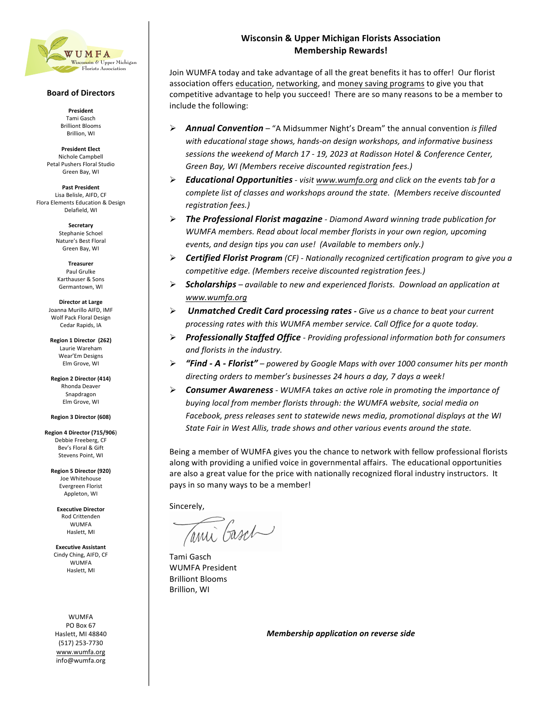

## **Board of Directors**

**President** Tami Gasch **Brilliont Blooms** Brillion, WI

**President Elect** Nichole Campbell Petal Pushers Floral Studio Green Bay, WI

**Past President** Lisa Belisle, AIFD, CF Flora Elements Education & Design Delafield, WI

> **Secretary**  Stephanie Schoel Nature's Best Floral Green Bay, WI

**Treasurer**  Paul Grulke Karthauser & Sons Germantown, WI

**Director at Large** Joanna Murillo AIFD, IMF Wolf Pack Floral Design Cedar Rapids, IA

**Region 1 Director (262)** Laurie Wareham Wear'Em Designs Elm Grove, WI

**Region 2 Director (414)** Rhonda Deaver Snapdragon Elm Grove, WI 

**Region 3 Director (608)**

**Region 4 Director (715/906**) Debbie Freeberg, CF Bev's Floral & Gift Stevens Point, WI

**Region 5 Director (920)** Joe Whitehouse Evergreen Florist Appleton, WI

**Executive Director** Rod Crittenden WUMFA Haslett, MI

**Executive Assistant** Cindy Ching, AIFD. CF WUMFA Haslett, MI

WUMFA PO Box 67 Haslett, MI 48840 (517) 253-7730 www.wumfa.org info@wumfa.org

## **Wisconsin & Upper Michigan Florists Association Membership Rewards!**

Join WUMFA today and take advantage of all the great benefits it has to offer! Our florist association offers education, networking, and money saving programs to give you that competitive advantage to help you succeed! There are so many reasons to be a member to include the following:

- **►** Annual Convention "A Midsummer Night's Dream" the annual convention *is filled* with educational stage shows, hands-on design workshops, and informative business sessions the weekend of March 17 - 19, 2023 at Radisson Hotel & Conference Center, Green Bay, WI (Members receive discounted registration fees.)
- Ø *Educational Opportunities - visit www.wumfa.org and click on the events tab for a complete list of classes and workshops around the state. (Members receive discounted registration fees.)*
- Ø *The Professional Florist magazine - Diamond Award winning trade publication for*  WUMFA members. Read about local member florists in your own region, upcoming events, and design tips you can use! (Available to members only.)
- Ø *Certified Florist Program (CF) - Nationally recognized certification program to give you a competitive edge.* (Members receive discounted registration fees.)
- **► Scholarships** available to new and experienced florists. Download an application at *www.wumfa.org*
- Ø *Unmatched Credit Card processing rates - Give us a chance to beat your current*  processing rates with this WUMFA member service. Call Office for a quote today.
- Ø *Professionally Staffed Office - Providing professional information both for consumers and florists in the industry.*
- **►** "Find A Florist" powered by Google Maps with over 1000 consumer hits per month *directing orders to member's businesses 24 hours a day, 7 days a week!*
- **►** Consumer Awareness *-* WUMFA takes an active role in promoting the importance of *buying local from member florists through: the WUMFA website, social media on* Facebook, press releases sent to statewide news media, promotional displays at the WI State Fair in West Allis, trade shows and other various events around the state.

Being a member of WUMFA gives you the chance to network with fellow professional florists along with providing a unified voice in governmental affairs. The educational opportunities are also a great value for the price with nationally recognized floral industry instructors. It pays in so many ways to be a member!

Sincerely,

ani Casch

Tami Gasch WUMFA President **Brilliont Blooms** Brillion, WI

*Membership application on reverse side*